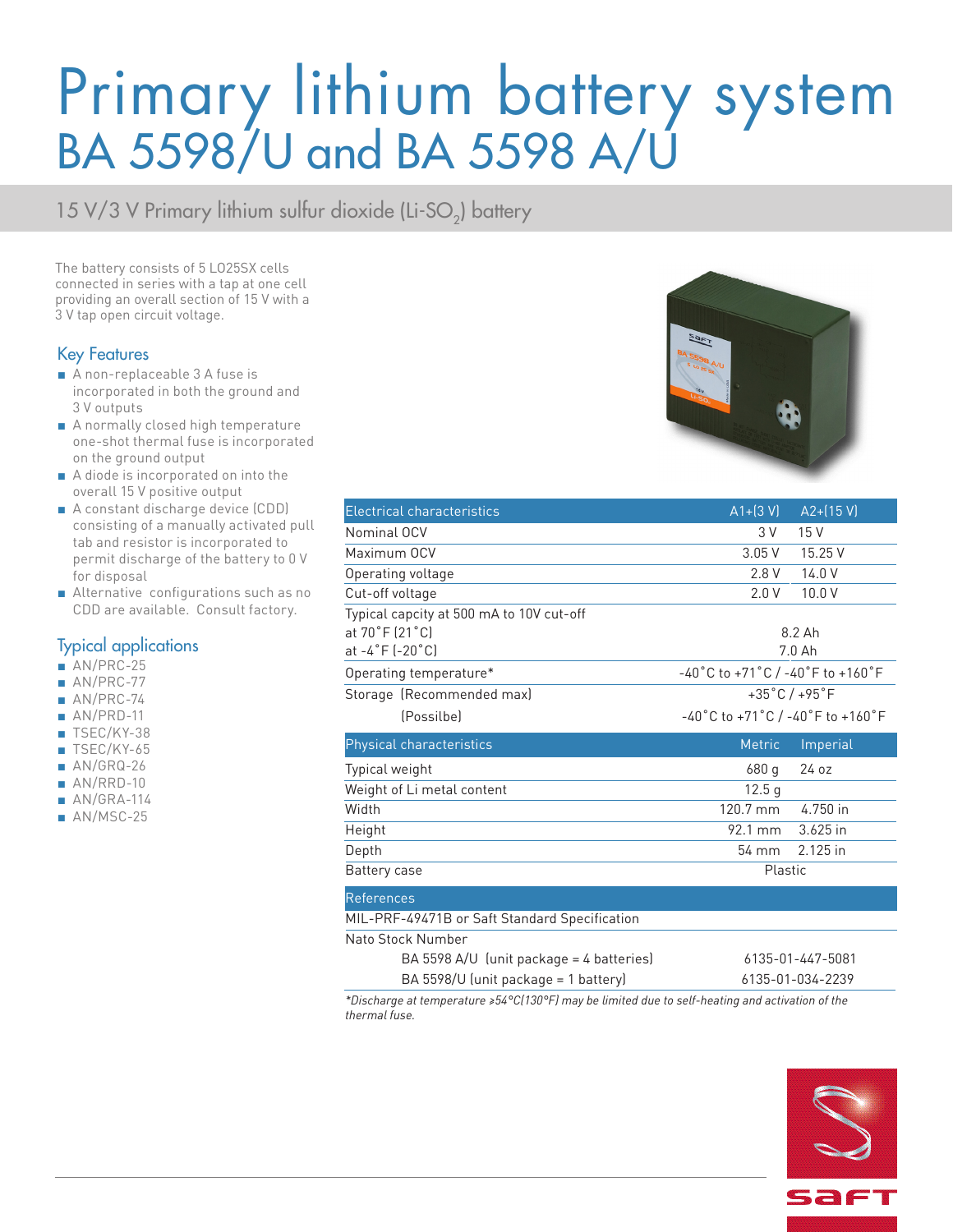# Primary lithium battery system BA 5598/U and BA 5598 A/U

15 V/3 V Primary lithium sulfur dioxide (Li-SO<sub>2</sub>) battery

The battery consists of 5 LO25SX cells connected in series with a tap at one cell providing an overall section of 15 V with a 3 V tap open circuit voltage.

### Key Features

- A non-replaceable 3 A fuse is incorporated in both the ground and 3 V outputs
- A normally closed high temperature one-shot thermal fuse is incorporated on the ground output
- A diode is incorporated on into the overall 15 V positive output
- A constant discharge device (CDD) consisting of a manually activated pull tab and resistor is incorporated to permit discharge of the battery to 0 V for disposal
- Alternative configurations such as no CDD are available. Consult factory.

### Typical applications

- AN/PRC-25
- AN/PRC-77
- AN/PRC-74
- AN/PRD-11
- TSEC/KY-38
- TSEC/KY-65
- AN/GRQ-26
- AN/RRD-10
- $\blacksquare$  AN/GRA-114
- AN/MSC-25



| <b>Electrical characteristics</b>             | $A1 + (3 V)$                                                            | $A2 + (15 V)$ |
|-----------------------------------------------|-------------------------------------------------------------------------|---------------|
| Nominal OCV                                   | 3 V                                                                     | 15V           |
| Maximum OCV                                   | 3.05V                                                                   | 15.25 V       |
| Operating voltage                             | 2.8 V                                                                   | 14.0V         |
| Cut-off voltage                               | 2.0V                                                                    | 10.0V         |
| Typical capcity at 500 mA to 10V cut-off      |                                                                         |               |
| at 70°F (21°C)                                | 8.2 Ah                                                                  |               |
| at -4°F (-20°C)                               | $7.0$ Ah                                                                |               |
| Operating temperature*                        | $-40\degree$ C to +71 $\degree$ C / -40 $\degree$ F to +160 $\degree$ F |               |
| Storage (Recommended max)                     | $+35^{\circ}$ C/ $+95^{\circ}$ F                                        |               |
| (Possilbe)                                    | -40°C to +71°C / -40°F to +160°F                                        |               |
| Physical characteristics                      | <b>Metric</b>                                                           | Imperial      |
|                                               |                                                                         |               |
| Typical weight                                | 680 g                                                                   | 24 oz         |
| Weight of Li metal content                    | 12.5 <sub>q</sub>                                                       |               |
| Width                                         | 120.7 mm                                                                | 4.750 in      |
| Height                                        | 92.1 mm                                                                 | 3.625 in      |
| Depth                                         | 54 mm                                                                   | 2.125 in      |
| Battery case                                  | Plastic                                                                 |               |
| <b>References</b>                             |                                                                         |               |
| MIL-PRF-49471B or Saft Standard Specification |                                                                         |               |

| Ito Stock Number                         |                  |
|------------------------------------------|------------------|
| BA 5598 A/U (unit package = 4 batteries) | 6135-01-447-5081 |
| BA 5598/U (unit package = 1 battery)     | 6135-01-034-2239 |
|                                          |                  |

*\*Discharge at temperature ≥54°C(130°F) may be limited due to self-heating and activation of the thermal fuse.*